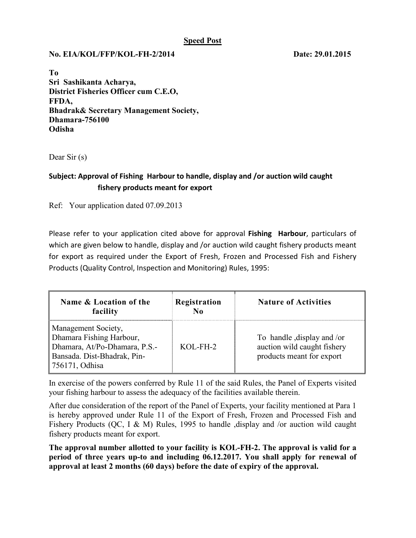## **Speed Post**

## **No. EIA/KOL/FFP/KOL-FH-2/2014 Date: 29.01.2015**

**To Sri Sashikanta Acharya, District Fisheries Officer cum C.E.O, FFDA, Bhadrak& Secretary Management Society, Dhamara-756100 Odisha**

Dear Sir (s)

## **Subject: Approval of Fishing Harbour to handle, display and /or auction wild caught fishery products meant for export**

Ref: Your application dated 07.09.2013

Please refer to your application cited above for approval **Fishing Harbour**, particulars of which are given below to handle, display and /or auction wild caught fishery products meant for export as required under the Export of Fresh, Frozen and Processed Fish and Fishery Products (Quality Control, Inspection and Monitoring) Rules, 1995:

| Name & Location of the<br>facility                                                                                                | Registration<br>No | <b>Nature of Activities</b>                                                            |
|-----------------------------------------------------------------------------------------------------------------------------------|--------------------|----------------------------------------------------------------------------------------|
| Management Society,<br>Dhamara Fishing Harbour,<br>Dhamara, At/Po-Dhamara, P.S.-<br>Bansada. Dist-Bhadrak, Pin-<br>756171, Odhisa | $KOL-FH-2$         | To handle, display and /or<br>auction wild caught fishery<br>products meant for export |

In exercise of the powers conferred by Rule 11 of the said Rules, the Panel of Experts visited your fishing harbour to assess the adequacy of the facilities available therein.

After due consideration of the report of the Panel of Experts, your facility mentioned at Para 1 is hereby approved under Rule 11 of the Export of Fresh, Frozen and Processed Fish and Fishery Products (QC, I & M) Rules, 1995 to handle , display and /or auction wild caught fishery products meant for export.

**The approval number allotted to your facility is KOL-FH-2. The approval is valid for a period of three years up-to and including 06.12.2017. You shall apply for renewal of approval at least 2 months (60 days) before the date of expiry of the approval.**